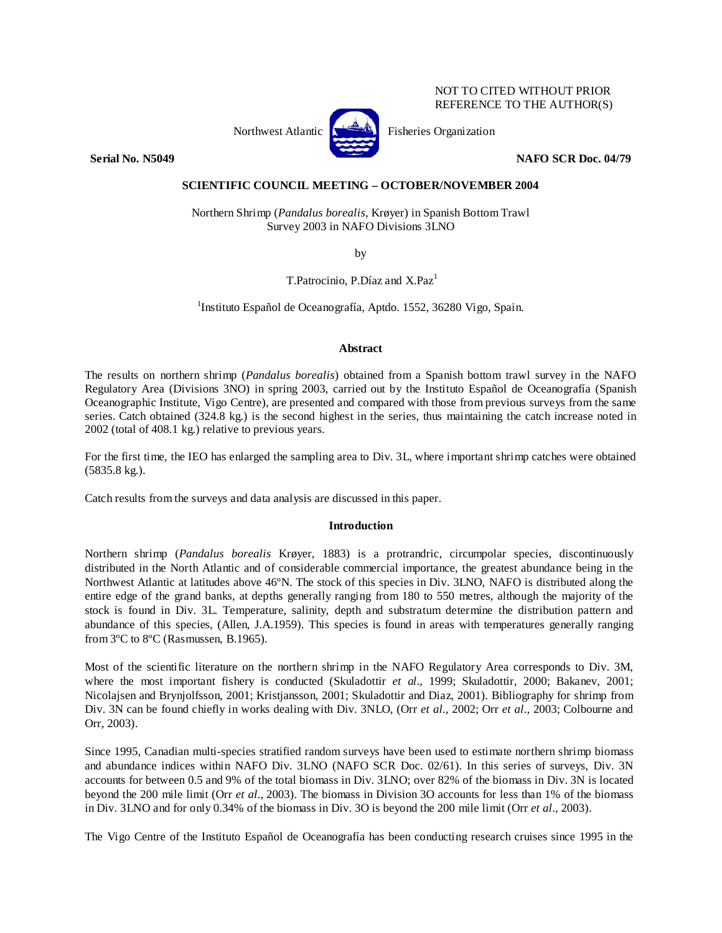## NOT TO CITED WITHOUT PRIOR REFERENCE TO THE AUTHOR(S)



Northwest Atlantic  $\begin{bmatrix} 1 & 1 \\ 1 & 2 \end{bmatrix}$  Fisheries Organization

**Serial No. N5049 NAFO SCR Doc. 04/79** 

# **SCIENTIFIC COUNCIL MEETING – OCTOBER/NOVEMBER 2004**

Northern Shrimp (*Pandalus borealis*, Krøyer) in Spanish Bottom Trawl Survey 2003 in NAFO Divisions 3LNO

by

T.Patrocinio, P.Díaz and  $X.Paz<sup>1</sup>$ 

<sup>1</sup>Instituto Español de Oceanografía, Aptdo. 1552, 36280 Vigo, Spain.

## **Abstract**

The results on northern shrimp (*Pandalus borealis*) obtained from a Spanish bottom trawl survey in the NAFO Regulatory Area (Divisions 3NO) in spring 2003, carried out by the Instituto Español de Oceanografía (Spanish Oceanographic Institute, Vigo Centre), are presented and compared with those from previous surveys from the same series. Catch obtained (324.8 kg.) is the second highest in the series, thus maintaining the catch increase noted in 2002 (total of 408.1 kg.) relative to previous years.

For the first time, the IEO has enlarged the sampling area to Div. 3L, where important shrimp catches were obtained (5835.8 kg.).

Catch results from the surveys and data analysis are discussed in this paper.

## **Introduction**

Northern shrimp (*Pandalus borealis* Krøyer, 1883) is a protrandric, circumpolar species, discontinuously distributed in the North Atlantic and of considerable commercial importance, the greatest abundance being in the Northwest Atlantic at latitudes above 46ºN. The stock of this species in Div. 3LNO, NAFO is distributed along the entire edge of the grand banks, at depths generally ranging from 180 to 550 metres, although the majority of the stock is found in Div. 3L. Temperature, salinity, depth and substratum determine the distribution pattern and abundance of this species, (Allen, J.A.1959). This species is found in areas with temperatures generally ranging from 3ºC to 8ºC (Rasmussen, B.1965).

Most of the scientific literature on the northern shrimp in the NAFO Regulatory Area corresponds to Div. 3M, where the most important fishery is conducted (Skuladottir *et al.*, 1999; Skuladottir, 2000; Bakanev, 2001; Nicolajsen and Brynjolfsson, 2001; Kristjansson, 2001; Skuladottir and Diaz, 2001). Bibliography for shrimp from Div. 3N can be found chiefly in works dealing with Div. 3NLO, (Orr *et al*., 2002; Orr *et al*., 2003; Colbourne and Orr, 2003).

Since 1995, Canadian multi-species stratified random surveys have been used to estimate northern shrimp biomass and abundance indices within NAFO Div. 3LNO (NAFO SCR Doc. 02/61). In this series of surveys, Div. 3N accounts for between 0.5 and 9% of the total biomass in Div. 3LNO; over 82% of the biomass in Div. 3N is located beyond the 200 mile limit (Orr *et al*., 2003). The biomass in Division 3O accounts for less than 1% of the biomass in Div. 3LNO and for only 0.34% of the biomass in Div. 3O is beyond the 200 mile limit (Orr *et al*., 2003).

The Vigo Centre of the Instituto Español de Oceanografía has been conducting research cruises since 1995 in the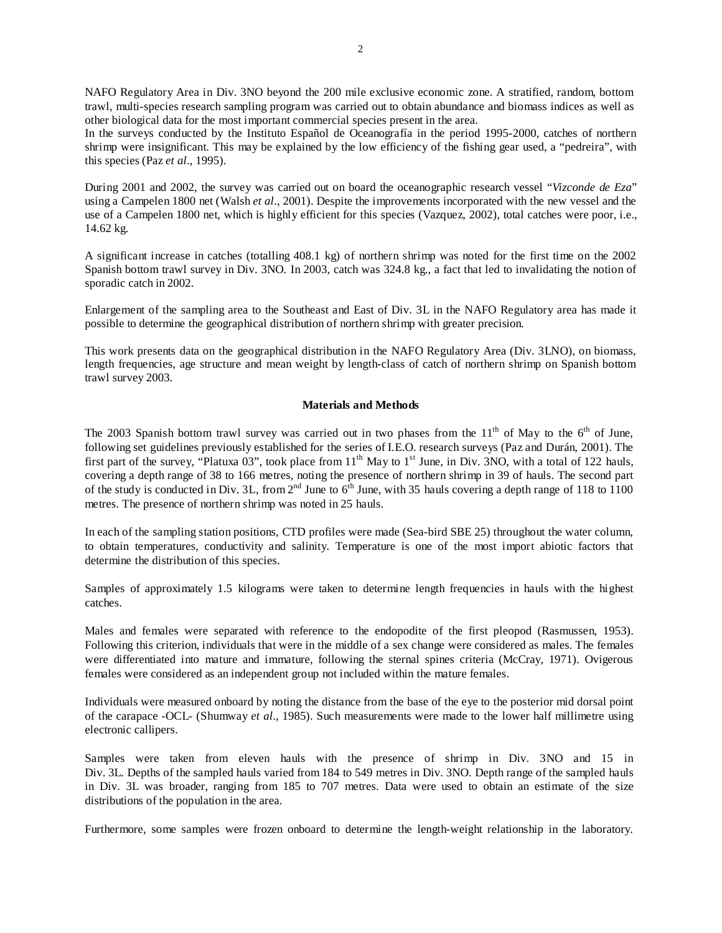NAFO Regulatory Area in Div. 3NO beyond the 200 mile exclusive economic zone. A stratified, random, bottom trawl, multi-species research sampling program was carried out to obtain abundance and biomass indices as well as other biological data for the most important commercial species present in the area.

In the surveys conducted by the Instituto Español de Oceanografía in the period 1995-2000, catches of northern shrimp were insignificant. This may be explained by the low efficiency of the fishing gear used, a "pedreira", with this species (Paz *et al*., 1995).

During 2001 and 2002, the survey was carried out on board the oceanographic research vessel "*Vizconde de Eza*" using a Campelen 1800 net (Walsh *et al*., 2001). Despite the improvements incorporated with the new vessel and the use of a Campelen 1800 net, which is highly efficient for this species (Vazquez, 2002), total catches were poor, i.e., 14.62 kg.

A significant increase in catches (totalling 408.1 kg) of northern shrimp was noted for the first time on the 2002 Spanish bottom trawl survey in Div. 3NO. In 2003, catch was 324.8 kg., a fact that led to invalidating the notion of sporadic catch in 2002.

Enlargement of the sampling area to the Southeast and East of Div. 3L in the NAFO Regulatory area has made it possible to determine the geographical distribution of northern shrimp with greater precision.

This work presents data on the geographical distribution in the NAFO Regulatory Area (Div. 3LNO), on biomass, length frequencies, age structure and mean weight by length-class of catch of northern shrimp on Spanish bottom trawl survey 2003.

### **Materials and Methods**

The 2003 Spanish bottom trawl survey was carried out in two phases from the  $11<sup>th</sup>$  of May to the 6<sup>th</sup> of June, following set guidelines previously established for the series of I.E.O. research surveys (Paz and Durán, 2001). The first part of the survey, "Platuxa 03", took place from  $11<sup>th</sup>$  May to  $1<sup>st</sup>$  June, in Div. 3NO, with a total of 122 hauls, covering a depth range of 38 to 166 metres, noting the presence of northern shrimp in 39 of hauls. The second part of the study is conducted in Div. 3L, from  $2<sup>nd</sup>$  June to  $6<sup>th</sup>$  June, with 35 hauls covering a depth range of 118 to 1100 metres. The presence of northern shrimp was noted in 25 hauls.

In each of the sampling station positions, CTD profiles were made (Sea-bird SBE 25) throughout the water column, to obtain temperatures, conductivity and salinity. Temperature is one of the most import abiotic factors that determine the distribution of this species.

Samples of approximately 1.5 kilograms were taken to determine length frequencies in hauls with the highest catches.

Males and females were separated with reference to the endopodite of the first pleopod (Rasmussen, 1953). Following this criterion, individuals that were in the middle of a sex change were considered as males. The females were differentiated into mature and immature, following the sternal spines criteria (McCray, 1971). Ovigerous females were considered as an independent group not included within the mature females.

Individuals were measured onboard by noting the distance from the base of the eye to the posterior mid dorsal point of the carapace -OCL- (Shumway *et al*., 1985). Such measurements were made to the lower half millimetre using electronic callipers.

Samples were taken from eleven hauls with the presence of shrimp in Div. 3NO and 15 in Div. 3L. Depths of the sampled hauls varied from 184 to 549 metres in Div. 3NO. Depth range of the sampled hauls in Div. 3L was broader, ranging from 185 to 707 metres. Data were used to obtain an estimate of the size distributions of the population in the area.

Furthermore, some samples were frozen onboard to determine the length-weight relationship in the laboratory.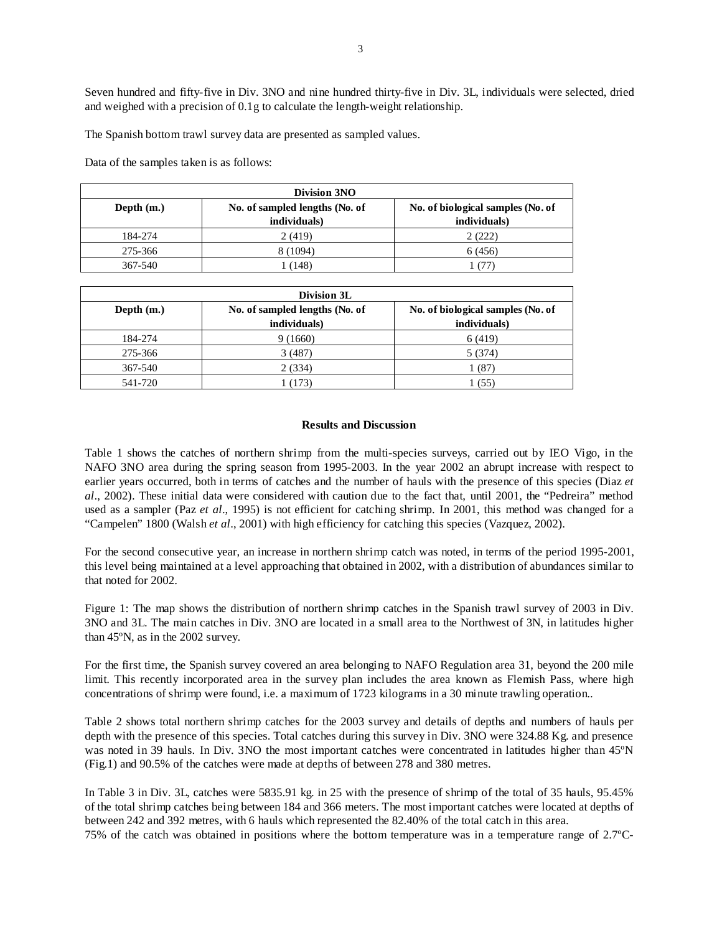Seven hundred and fifty-five in Div. 3NO and nine hundred thirty-five in Div. 3L, individuals were selected, dried and weighed with a precision of 0.1g to calculate the length-weight relationship.

The Spanish bottom trawl survey data are presented as sampled values.

Data of the samples taken is as follows:

| Division 3NO                                                                        |              |              |  |  |
|-------------------------------------------------------------------------------------|--------------|--------------|--|--|
| No. of biological samples (No. of<br>No. of sampled lengths (No. of<br>Depth $(m.)$ |              |              |  |  |
|                                                                                     | individuals) | individuals) |  |  |
| 184-274                                                                             | 2(419)       | 2(222)       |  |  |
| 275-366                                                                             | 8 (1094)     | 6 (456)      |  |  |
| 367-540                                                                             | l 48)        |              |  |  |

| Division 3L                                    |              |                                   |  |  |
|------------------------------------------------|--------------|-----------------------------------|--|--|
| Depth $(m.)$<br>No. of sampled lengths (No. of |              | No. of biological samples (No. of |  |  |
|                                                | individuals) | individuals)                      |  |  |
| 184-274                                        | 9(1660)      | 6 (419)                           |  |  |
| 275-366                                        | 3(487)       | 5 (374)                           |  |  |
| 367-540                                        | 2(334)       | (87)                              |  |  |
| 541-720                                        | 173          | 1 (55                             |  |  |

### **Results and Discussion**

Table 1 shows the catches of northern shrimp from the multi-species surveys, carried out by IEO Vigo, in the NAFO 3NO area during the spring season from 1995-2003. In the year 2002 an abrupt increase with respect to earlier years occurred, both in terms of catches and the number of hauls with the presence of this species (Diaz *et al*., 2002). These initial data were considered with caution due to the fact that, until 2001, the "Pedreira" method used as a sampler (Paz *et al*., 1995) is not efficient for catching shrimp. In 2001, this method was changed for a "Campelen" 1800 (Walsh *et al*., 2001) with high efficiency for catching this species (Vazquez, 2002).

For the second consecutive year, an increase in northern shrimp catch was noted, in terms of the period 1995-2001, this level being maintained at a level approaching that obtained in 2002, with a distribution of abundances similar to that noted for 2002.

Figure 1: The map shows the distribution of northern shrimp catches in the Spanish trawl survey of 2003 in Div. 3NO and 3L. The main catches in Div. 3NO are located in a small area to the Northwest of 3N, in latitudes higher than 45ºN, as in the 2002 survey.

For the first time, the Spanish survey covered an area belonging to NAFO Regulation area 31, beyond the 200 mile limit. This recently incorporated area in the survey plan includes the area known as Flemish Pass, where high concentrations of shrimp were found, i.e. a maximum of 1723 kilograms in a 30 minute trawling operation..

Table 2 shows total northern shrimp catches for the 2003 survey and details of depths and numbers of hauls per depth with the presence of this species. Total catches during this survey in Div. 3NO were 324.88 Kg, and presence was noted in 39 hauls. In Div. 3NO the most important catches were concentrated in latitudes higher than 45°N (Fig.1) and 90.5% of the catches were made at depths of between 278 and 380 metres.

In Table 3 in Div. 3L, catches were 5835.91 kg. in 25 with the presence of shrimp of the total of 35 hauls, 95.45% of the total shrimp catches being between 184 and 366 meters. The most important catches were located at depths of between 242 and 392 metres, with 6 hauls which represented the 82.40% of the total catch in this area.

75% of the catch was obtained in positions where the bottom temperature was in a temperature range of 2.7ºC-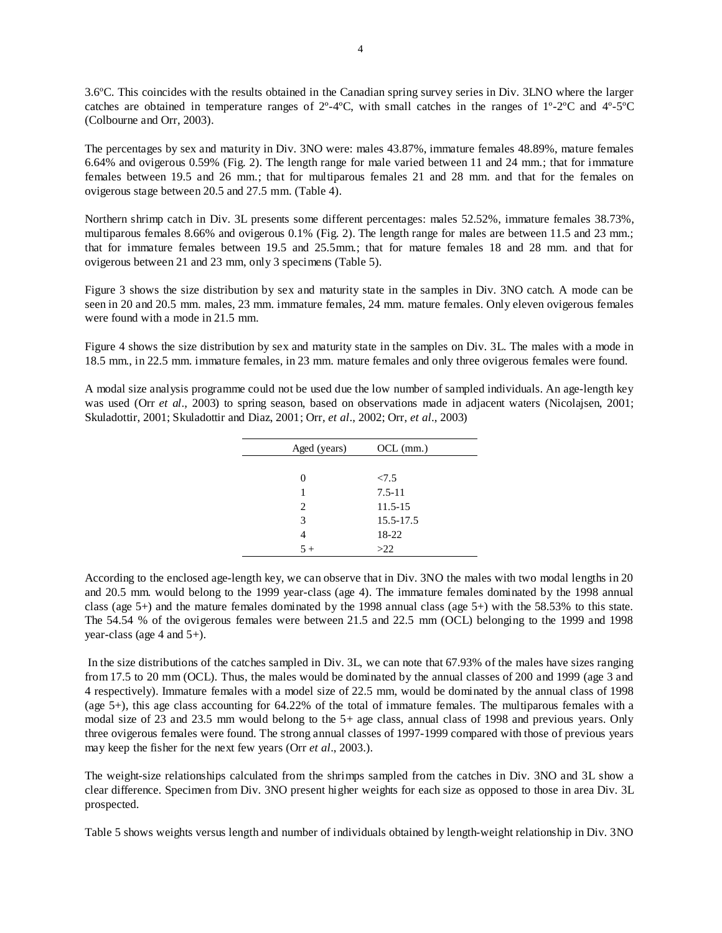3.6ºC. This coincides with the results obtained in the Canadian spring survey series in Div. 3LNO where the larger catches are obtained in temperature ranges of  $2^{\circ}$ -4 $^{\circ}$ C, with small catches in the ranges of  $1^{\circ}$ -2 $^{\circ}$ C and  $4^{\circ}$ -5 $^{\circ}$ C (Colbourne and Orr, 2003).

The percentages by sex and maturity in Div. 3NO were: males 43.87%, immature females 48.89%, mature females 6.64% and ovigerous 0.59% (Fig. 2). The length range for male varied between 11 and 24 mm.; that for immature females between 19.5 and 26 mm.; that for multiparous females 21 and 28 mm. and that for the females on ovigerous stage between 20.5 and 27.5 mm. (Table 4).

Northern shrimp catch in Div. 3L presents some different percentages: males 52.52%, immature females 38.73%, multiparous females 8.66% and ovigerous 0.1% (Fig. 2). The length range for males are between 11.5 and 23 mm.; that for immature females between 19.5 and 25.5mm.; that for mature females 18 and 28 mm. and that for ovigerous between 21 and 23 mm, only 3 specimens (Table 5).

Figure 3 shows the size distribution by sex and maturity state in the samples in Div. 3NO catch. A mode can be seen in 20 and 20.5 mm. males, 23 mm. immature females, 24 mm. mature females. Only eleven ovigerous females were found with a mode in 21.5 mm.

Figure 4 shows the size distribution by sex and maturity state in the samples on Div. 3L. The males with a mode in 18.5 mm., in 22.5 mm. immature females, in 23 mm. mature females and only three ovigerous females were found.

A modal size analysis programme could not be used due the low number of sampled individuals. An age-length key was used (Orr *et al.*, 2003) to spring season, based on observations made in adjacent waters (Nicolajsen, 2001; Skuladottir, 2001; Skuladottir and Diaz, 2001; Orr, *et al*., 2002; Orr, *et al*., 2003)

| Aged (years)   | $OCL$ (mm.) |
|----------------|-------------|
|                |             |
| 0              | 27.5        |
| 1              | $7.5 - 11$  |
| $\overline{c}$ | $11.5 - 15$ |
| 3              | 15.5-17.5   |
| 4              | 18-22       |
| $5 +$          | >22         |

According to the enclosed age-length key, we can observe that in Div. 3NO the males with two modal lengths in 20 and 20.5 mm. would belong to the 1999 year-class (age 4). The immature females dominated by the 1998 annual class (age 5+) and the mature females dominated by the 1998 annual class (age 5+) with the 58.53% to this state. The 54.54 % of the ovigerous females were between 21.5 and 22.5 mm (OCL) belonging to the 1999 and 1998 year-class (age 4 and 5+).

 In the size distributions of the catches sampled in Div. 3L, we can note that 67.93% of the males have sizes ranging from 17.5 to 20 mm (OCL). Thus, the males would be dominated by the annual classes of 200 and 1999 (age 3 and 4 respectively). Immature females with a model size of 22.5 mm, would be dominated by the annual class of 1998 (age 5+), this age class accounting for 64.22% of the total of immature females. The multiparous females with a modal size of 23 and 23.5 mm would belong to the 5+ age class, annual class of 1998 and previous years. Only three ovigerous females were found. The strong annual classes of 1997-1999 compared with those of previous years may keep the fisher for the next few years (Orr *et al*., 2003.).

The weight-size relationships calculated from the shrimps sampled from the catches in Div. 3NO and 3L show a clear difference. Specimen from Div. 3NO present higher weights for each size as opposed to those in area Div. 3L prospected.

Table 5 shows weights versus length and number of individuals obtained by length-weight relationship in Div. 3NO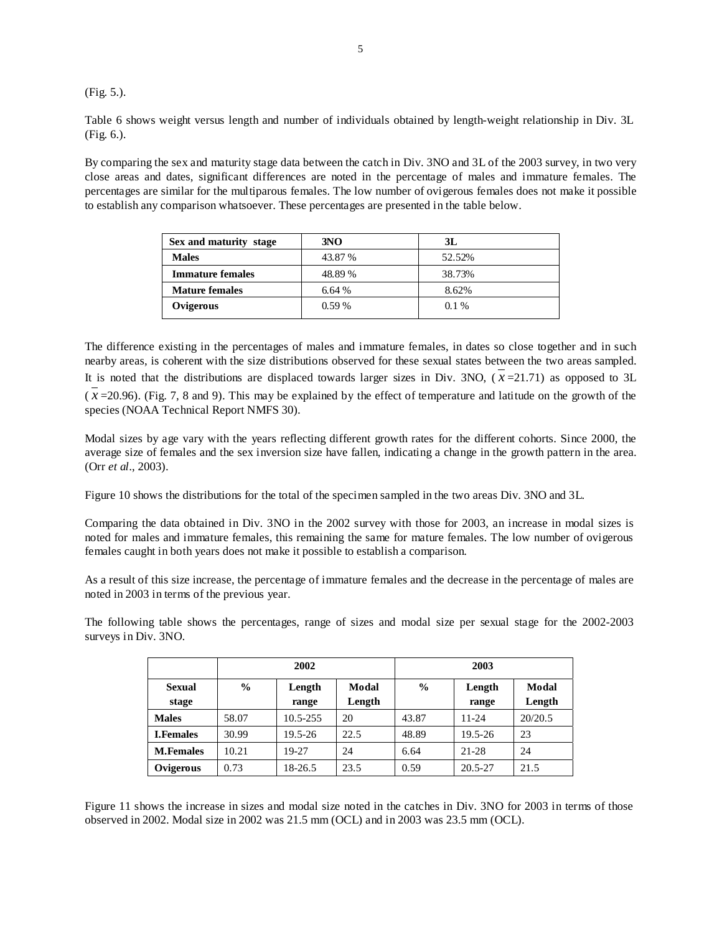(Fig. 5.).

Table 6 shows weight versus length and number of individuals obtained by length-weight relationship in Div. 3L (Fig. 6.).

By comparing the sex and maturity stage data between the catch in Div. 3NO and 3L of the 2003 survey, in two very close areas and dates, significant differences are noted in the percentage of males and immature females. The percentages are similar for the multiparous females. The low number of ovigerous females does not make it possible to establish any comparison whatsoever. These percentages are presented in the table below.

| Sex and maturity stage  | 3NO      | 3L      |
|-------------------------|----------|---------|
| <b>Males</b>            | 43.87 %  | 52.52%  |
| <b>Immature females</b> | 48.89 %  | 38.73%  |
| <b>Mature females</b>   | 6.64%    | 8.62%   |
| Ovigerous               | $0.59\%$ | $0.1\%$ |

The difference existing in the percentages of males and immature females, in dates so close together and in such nearby areas, is coherent with the size distributions observed for these sexual states between the two areas sampled. It is noted that the distributions are displaced towards larger sizes in Div. 3NO,  $(x=21.71)$  as opposed to 3L  $(x=20.96)$ . (Fig. 7, 8 and 9). This may be explained by the effect of temperature and latitude on the growth of the species (NOAA Technical Report NMFS 30).

Modal sizes by age vary with the years reflecting different growth rates for the different cohorts. Since 2000, the average size of females and the sex inversion size have fallen, indicating a change in the growth pattern in the area. (Orr *et al*., 2003).

Figure 10 shows the distributions for the total of the specimen sampled in the two areas Div. 3NO and 3L.

Comparing the data obtained in Div. 3NO in the 2002 survey with those for 2003, an increase in modal sizes is noted for males and immature females, this remaining the same for mature females. The low number of ovigerous females caught in both years does not make it possible to establish a comparison.

As a result of this size increase, the percentage of immature females and the decrease in the percentage of males are noted in 2003 in terms of the previous year.

The following table shows the percentages, range of sizes and modal size per sexual stage for the 2002-2003 surveys in Div. 3NO.

|                        | 2002          |                 | 2003            |               |                 |                 |
|------------------------|---------------|-----------------|-----------------|---------------|-----------------|-----------------|
| <b>Sexual</b><br>stage | $\frac{0}{0}$ | Length<br>range | Modal<br>Length | $\frac{0}{0}$ | Length<br>range | Modal<br>Length |
| <b>Males</b>           | 58.07         | 10.5-255        | 20              | 43.87         | $11 - 24$       | 20/20.5         |
| <b>I.Females</b>       | 30.99         | $19.5 - 26$     | 22.5            | 48.89         | 19.5-26         | 23              |
| <b>M.Females</b>       | 10.21         | 19-27           | 24              | 6.64          | 21-28           | 24              |
| Ovigerous              | 0.73          | 18-26.5         | 23.5            | 0.59          | $20.5 - 27$     | 21.5            |

Figure 11 shows the increase in sizes and modal size noted in the catches in Div. 3NO for 2003 in terms of those observed in 2002. Modal size in 2002 was 21.5 mm (OCL) and in 2003 was 23.5 mm (OCL).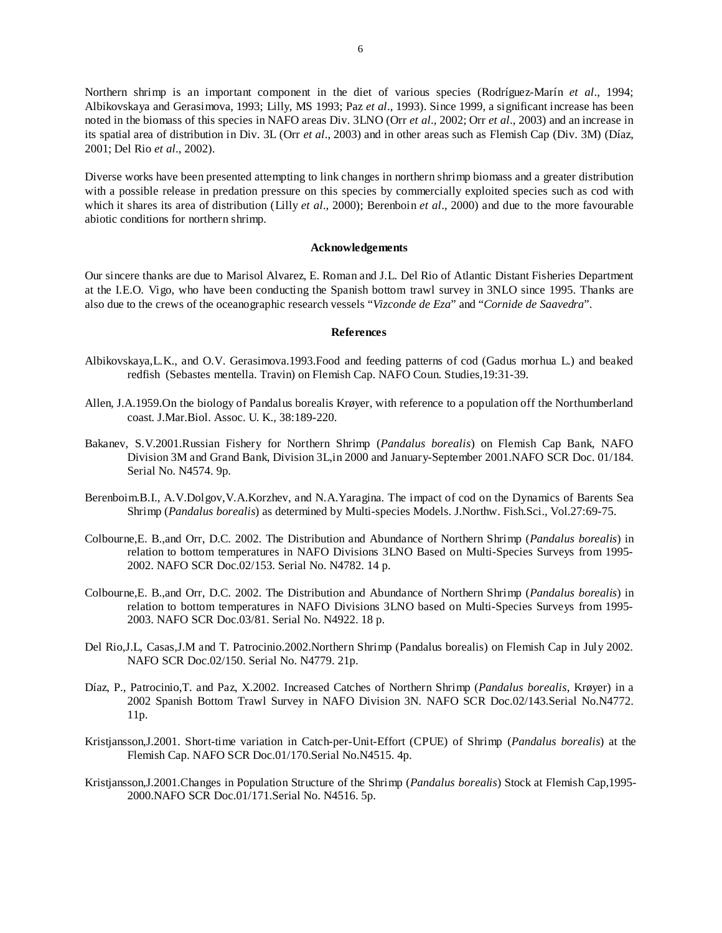Northern shrimp is an important component in the diet of various species (Rodríguez-Marín *et al*., 1994; Albikovskaya and Gerasimova, 1993; Lilly, MS 1993; Paz *et al*., 1993). Since 1999, a significant increase has been noted in the biomass of this species in NAFO areas Div. 3LNO (Orr *et al*., 2002; Orr *et al*., 2003) and an increase in its spatial area of distribution in Div. 3L (Orr *et al*., 2003) and in other areas such as Flemish Cap (Div. 3M) (Díaz, 2001; Del Rio *et al*., 2002).

Diverse works have been presented attempting to link changes in northern shrimp biomass and a greater distribution with a possible release in predation pressure on this species by commercially exploited species such as cod with which it shares its area of distribution (Lilly *et al*., 2000); Berenboin *et al*., 2000) and due to the more favourable abiotic conditions for northern shrimp.

### **Acknowledgements**

Our sincere thanks are due to Marisol Alvarez, E. Roman and J.L. Del Rio of Atlantic Distant Fisheries Department at the I.E.O. Vigo, who have been conducting the Spanish bottom trawl survey in 3NLO since 1995. Thanks are also due to the crews of the oceanographic research vessels "*Vizconde de Eza*" and "*Cornide de Saavedra*".

### **References**

- Albikovskaya,L.K., and O.V. Gerasimova.1993.Food and feeding patterns of cod (Gadus morhua L.) and beaked redfish (Sebastes mentella. Travin) on Flemish Cap. NAFO Coun. Studies,19:31-39.
- Allen, J.A.1959.On the biology of Pandalus borealis Krøyer, with reference to a population off the Northumberland coast. J.Mar.Biol. Assoc. U. K., 38:189-220.
- Bakanev, S.V.2001.Russian Fishery for Northern Shrimp (*Pandalus borealis*) on Flemish Cap Bank, NAFO Division 3M and Grand Bank, Division 3L,in 2000 and January-September 2001.NAFO SCR Doc. 01/184. Serial No. N4574. 9p.
- Berenboim.B.I., A.V.Dolgov,V.A.Korzhev, and N.A.Yaragina. The impact of cod on the Dynamics of Barents Sea Shrimp (*Pandalus borealis*) as determined by Multi-species Models. J.Northw. Fish.Sci., Vol.27:69-75.
- Colbourne,E. B.,and Orr, D.C. 2002. The Distribution and Abundance of Northern Shrimp (*Pandalus borealis*) in relation to bottom temperatures in NAFO Divisions 3LNO Based on Multi-Species Surveys from 1995- 2002. NAFO SCR Doc.02/153. Serial No. N4782. 14 p.
- Colbourne,E. B.,and Orr, D.C. 2002. The Distribution and Abundance of Northern Shrimp (*Pandalus borealis*) in relation to bottom temperatures in NAFO Divisions 3LNO based on Multi-Species Surveys from 1995- 2003. NAFO SCR Doc.03/81. Serial No. N4922. 18 p.
- Del Rio,J.L, Casas,J.M and T. Patrocinio.2002.Northern Shrimp (Pandalus borealis) on Flemish Cap in July 2002. NAFO SCR Doc.02/150. Serial No. N4779. 21p.
- Díaz, P., Patrocinio,T. and Paz, X.2002. Increased Catches of Northern Shrimp (*Pandalus borealis*, Krøyer) in a 2002 Spanish Bottom Trawl Survey in NAFO Division 3N. NAFO SCR Doc.02/143.Serial No.N4772. 11p.
- Kristjansson,J.2001. Short-time variation in Catch-per-Unit-Effort (CPUE) of Shrimp (*Pandalus borealis*) at the Flemish Cap. NAFO SCR Doc.01/170.Serial No.N4515. 4p.
- Kristjansson,J.2001.Changes in Population Structure of the Shrimp (*Pandalus borealis*) Stock at Flemish Cap,1995- 2000.NAFO SCR Doc.01/171.Serial No. N4516. 5p.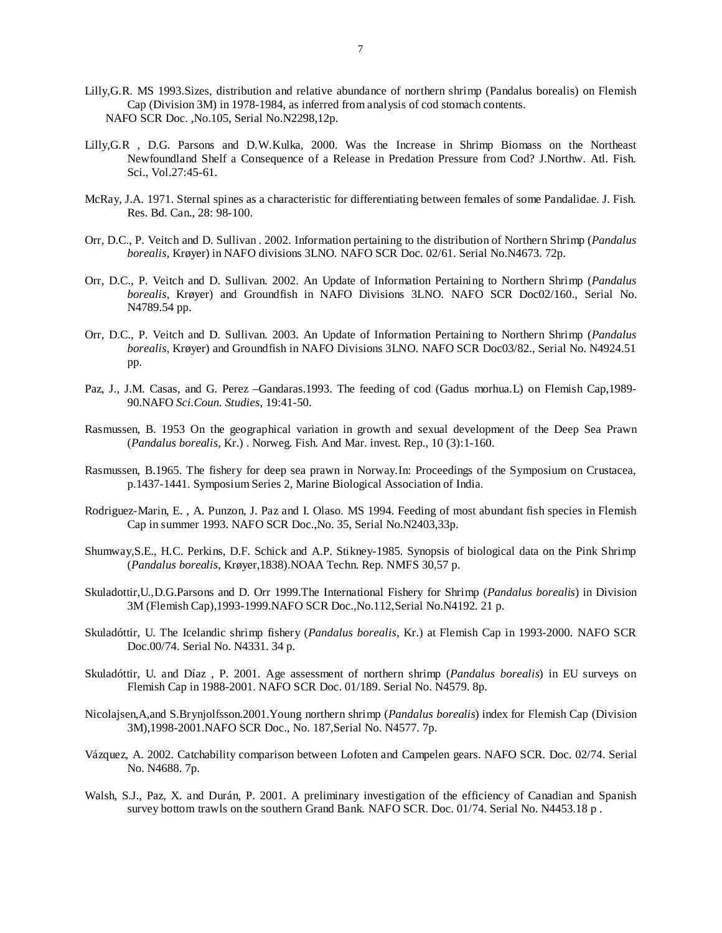- Lilly,G.R. MS 1993.Sizes, distribution and relative abundance of northern shrimp (Pandalus borealis) on Flemish Cap (Division 3M) in 1978-1984, as inferred from analysis of cod stomach contents. NAFO SCR Doc. ,No.105, Serial No.N2298,12p.
- Lilly,G.R , D.G. Parsons and D.W.Kulka, 2000. Was the Increase in Shrimp Biomass on the Northeast Newfoundland Shelf a Consequence of a Release in Predation Pressure from Cod? J.Northw. Atl. Fish. Sci., Vol.27:45-61.
- McRay, J.A. 1971. Sternal spines as a characteristic for differentiating between females of some Pandalidae. J. Fish. Res. Bd. Can., 28: 98-100.
- Orr, D.C., P. Veitch and D. Sullivan . 2002. Information pertaining to the distribution of Northern Shrimp (*Pandalus borealis*, Krøyer) in NAFO divisions 3LNO. NAFO SCR Doc. 02/61. Serial No.N4673. 72p.
- Orr, D.C., P. Veitch and D. Sullivan. 2002. An Update of Information Pertaining to Northern Shrimp (*Pandalus borealis*, Krøyer) and Groundfish in NAFO Divisions 3LNO. NAFO SCR Doc02/160., Serial No. N4789.54 pp.
- Orr, D.C., P. Veitch and D. Sullivan. 2003. An Update of Information Pertaining to Northern Shrimp (*Pandalus borealis*, Krøyer) and Groundfish in NAFO Divisions 3LNO. NAFO SCR Doc03/82., Serial No. N4924.51 pp.
- Paz, J., J.M. Casas, and G. Perez –Gandaras.1993. The feeding of cod (Gadus morhua.L) on Flemish Cap,1989- 90.NAFO *Sci.Coun. Studies*, 19:41-50.
- Rasmussen, B. 1953 On the geographical variation in growth and sexual development of the Deep Sea Prawn (*Pandalus borealis*, Kr.) . Norweg. Fish. And Mar. invest. Rep., 10 (3):1-160.
- Rasmussen, B.1965. The fishery for deep sea prawn in Norway.In: Proceedings of the Symposium on Crustacea, p.1437-1441. Symposium Series 2, Marine Biological Association of India.
- Rodriguez-Marin, E. , A. Punzon, J. Paz and I. Olaso. MS 1994. Feeding of most abundant fish species in Flemish Cap in summer 1993. NAFO SCR Doc.,No. 35, Serial No.N2403,33p.
- Shumway,S.E., H.C. Perkins, D.F. Schick and A.P. Stikney-1985. Synopsis of biological data on the Pink Shrimp (*Pandalus borealis*, Krøyer,1838).NOAA Techn. Rep. NMFS 30,57 p.
- Skuladottir,U.,D.G.Parsons and D. Orr 1999.The International Fishery for Shrimp (*Pandalus borealis*) in Division 3M (Flemish Cap),1993-1999.NAFO SCR Doc.,No.112,Serial No.N4192. 21 p.
- Skuladóttir, U. The Icelandic shrimp fishery (*Pandalus borealis*, Kr.) at Flemish Cap in 1993-2000. NAFO SCR Doc.00/74. Serial No. N4331. 34 p.
- Skuladóttir, U. and Díaz , P. 2001. Age assessment of northern shrimp (*Pandalus borealis*) in EU surveys on Flemish Cap in 1988-2001. NAFO SCR Doc. 01/189. Serial No. N4579. 8p.
- Nicolajsen,A,and S.Brynjolfsson.2001.Young northern shrimp (*Pandalus borealis*) index for Flemish Cap (Division 3M),1998-2001.NAFO SCR Doc., No. 187,Serial No. N4577. 7p.
- Vázquez, A. 2002. Catchability comparison between Lofoten and Campelen gears. NAFO SCR. Doc. 02/74. Serial No. N4688. 7p.
- Walsh, S.J., Paz, X. and Durán, P. 2001. A preliminary investigation of the efficiency of Canadian and Spanish survey bottom trawls on the southern Grand Bank. NAFO SCR. Doc. 01/74. Serial No. N4453.18 p.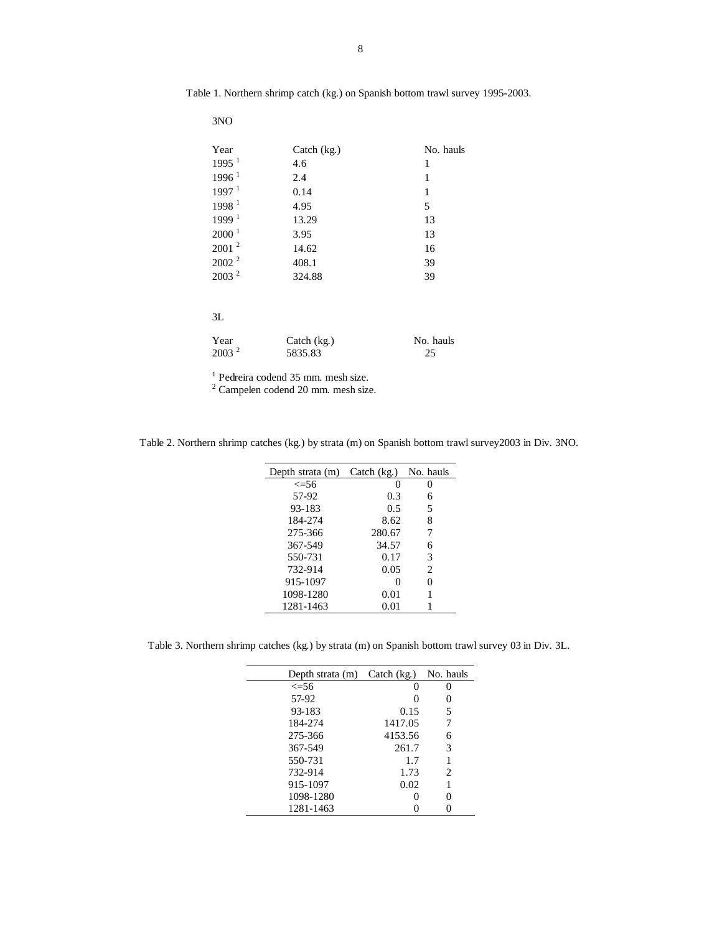| Year                | Catch $(kg)$ | No. hauls |
|---------------------|--------------|-----------|
| $1995$ <sup>1</sup> | 4.6          | 1         |
| 1996 <sup>1</sup>   | 2.4          | 1         |
| 1997 <sup>1</sup>   | 0.14         | 1         |
| 1998 <sup>1</sup>   | 4.95         | 5         |
| 1999 <sup>1</sup>   | 13.29        | 13        |
| 2000 <sup>1</sup>   | 3.95         | 13        |
| 2001 <sup>2</sup>   | 14.62        | 16        |
| $2002^2$            | 408.1        | 39        |
| 2003 <sup>2</sup>   | 324.88       | 39        |
|                     |              |           |
| 3L                  |              |           |
| Year                | Catch $(kg)$ | No. hauls |
| 2003 <sup>2</sup>   | 5835.83      | 25        |

Table 1. Northern shrimp catch (kg.) on Spanish bottom trawl survey 1995-2003.

3NO

<sup>1</sup> Pedreira codend 35 mm. mesh size.<br><sup>2</sup> Campelen codend 20 mm. mesh size.

Table 2. Northern shrimp catches (kg.) by strata (m) on Spanish bottom trawl survey2003 in Div. 3NO.

| Depth strata (m) | Catch $(kg)$ | No. hauls      |
|------------------|--------------|----------------|
| $\leq 56$        | $\theta$     | 0              |
| 57-92            | 0.3          | 6              |
| 93-183           | 0.5          | 5              |
| 184-274          | 8.62         | 8              |
| 275-366          | 280.67       | 7              |
| 367-549          | 34.57        | 6              |
| 550-731          | 0.17         | 3              |
| 732-914          | 0.05         | $\overline{c}$ |
| 915-1097         | 0            | 0              |
| 1098-1280        | 0.01         |                |
| 1281-1463        | 0.01         |                |
|                  |              |                |

Table 3. Northern shrimp catches (kg.) by strata (m) on Spanish bottom trawl survey 03 in Div. 3L.

| Depth strata $(m)$ Catch $(kg)$ |         | No. hauls |
|---------------------------------|---------|-----------|
| $\leq 56$                       |         |           |
| 57-92                           |         |           |
| 93-183                          | 0.15    | 5         |
| 184-274                         | 1417.05 |           |
| 275-366                         | 4153.56 | 6         |
| 367-549                         | 261.7   | 3         |
| 550-731                         | 1.7     |           |
| 732-914                         | 1.73    | 2         |
| 915-1097                        | 0.02    |           |
| 1098-1280                       |         | 0         |
| 1281-1463                       |         |           |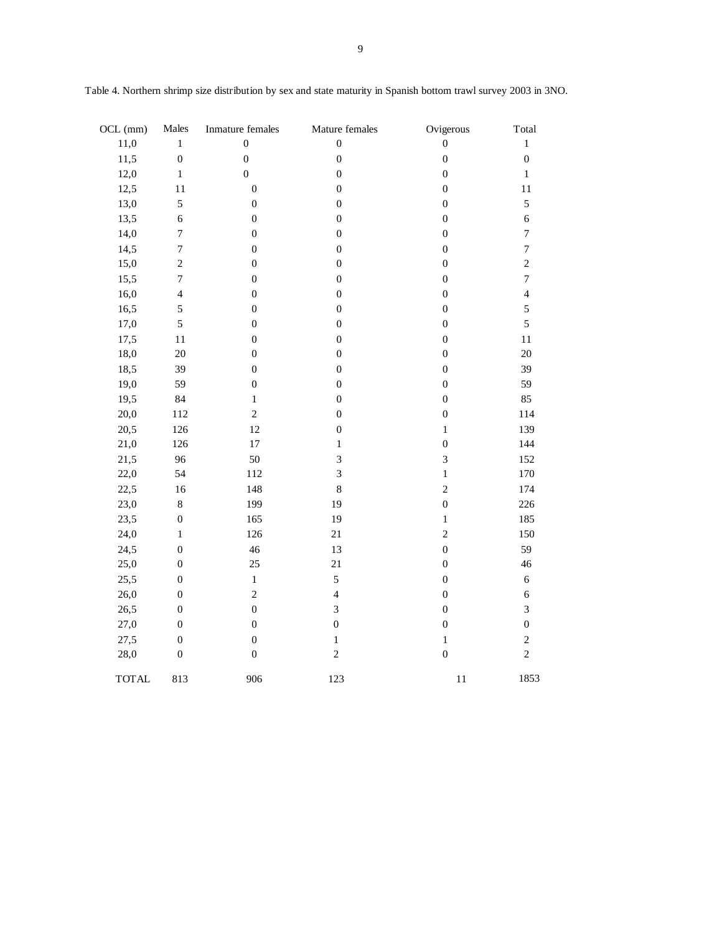| OCL (mm)     | Males            | Inmature females | Mature females   | Ovigerous        | Total            |
|--------------|------------------|------------------|------------------|------------------|------------------|
| 11,0         | $\mathbf 1$      | $\boldsymbol{0}$ | $\boldsymbol{0}$ | $\boldsymbol{0}$ | $\mathbf{1}$     |
| 11,5         | $\boldsymbol{0}$ | $\boldsymbol{0}$ | $\boldsymbol{0}$ | $\boldsymbol{0}$ | $\boldsymbol{0}$ |
| 12,0         | $\,1$            | $\mathbf 0$      | $\boldsymbol{0}$ | $\boldsymbol{0}$ | $\,1$            |
| 12,5         | 11               | $\boldsymbol{0}$ | $\boldsymbol{0}$ | $\boldsymbol{0}$ | 11               |
| 13,0         | 5                | $\boldsymbol{0}$ | $\boldsymbol{0}$ | $\boldsymbol{0}$ | 5                |
| 13,5         | $\boldsymbol{6}$ | $\boldsymbol{0}$ | $\boldsymbol{0}$ | $\boldsymbol{0}$ | $\sqrt{6}$       |
| 14,0         | $\boldsymbol{7}$ | $\boldsymbol{0}$ | $\boldsymbol{0}$ | $\boldsymbol{0}$ | $\boldsymbol{7}$ |
| 14,5         | $\sqrt{ }$       | $\boldsymbol{0}$ | $\boldsymbol{0}$ | $\boldsymbol{0}$ | $\boldsymbol{7}$ |
| 15,0         | $\overline{c}$   | $\boldsymbol{0}$ | $\boldsymbol{0}$ | $\boldsymbol{0}$ | $\boldsymbol{2}$ |
| 15,5         | $\boldsymbol{7}$ | $\boldsymbol{0}$ | $\boldsymbol{0}$ | $\boldsymbol{0}$ | $\boldsymbol{7}$ |
| 16,0         | $\overline{4}$   | $\boldsymbol{0}$ | $\boldsymbol{0}$ | $\boldsymbol{0}$ | $\overline{4}$   |
| 16,5         | 5                | $\boldsymbol{0}$ | $\boldsymbol{0}$ | $\boldsymbol{0}$ | 5                |
| 17,0         | 5                | $\boldsymbol{0}$ | $\boldsymbol{0}$ | $\boldsymbol{0}$ | 5                |
| 17,5         | 11               | $\boldsymbol{0}$ | $\boldsymbol{0}$ | $\boldsymbol{0}$ | $11\,$           |
| 18,0         | 20               | $\boldsymbol{0}$ | $\boldsymbol{0}$ | $\boldsymbol{0}$ | $20\,$           |
| 18,5         | 39               | $\boldsymbol{0}$ | $\boldsymbol{0}$ | $\boldsymbol{0}$ | 39               |
| 19,0         | 59               | $\boldsymbol{0}$ | $\boldsymbol{0}$ | $\boldsymbol{0}$ | 59               |
| 19,5         | 84               | $\,1$            | $\boldsymbol{0}$ | $\boldsymbol{0}$ | 85               |
| 20,0         | 112              | $\overline{c}$   | $\boldsymbol{0}$ | $\boldsymbol{0}$ | 114              |
| 20,5         | 126              | 12               | $\boldsymbol{0}$ | $\,1$            | 139              |
| 21,0         | 126              | $17\,$           | $\mathbf{1}$     | $\boldsymbol{0}$ | 144              |
| 21,5         | 96               | 50               | $\overline{3}$   | 3                | 152              |
| 22,0         | 54               | 112              | $\overline{3}$   | $\mathbf{1}$     | 170              |
| 22,5         | 16               | 148              | $\,8$            | $\sqrt{2}$       | 174              |
| 23,0         | $\,8\,$          | 199              | 19               | $\boldsymbol{0}$ | 226              |
| 23,5         | $\boldsymbol{0}$ | 165              | 19               | $\,1$            | 185              |
| 24,0         | $\,1$            | 126              | 21               | $\sqrt{2}$       | 150              |
| 24,5         | $\overline{0}$   | 46               | 13               | $\boldsymbol{0}$ | 59               |
| 25,0         | $\boldsymbol{0}$ | 25               | 21               | $\boldsymbol{0}$ | 46               |
| 25,5         | $\boldsymbol{0}$ | $\,1$            | 5                | $\boldsymbol{0}$ | $\sqrt{6}$       |
| 26,0         | $\overline{0}$   | $\overline{c}$   | $\overline{4}$   | $\boldsymbol{0}$ | $\epsilon$       |
| 26,5         | $\boldsymbol{0}$ | $\overline{0}$   | 3                | $\boldsymbol{0}$ | 3                |
| 27,0         | $\boldsymbol{0}$ | $\mathbf{0}$     | $\boldsymbol{0}$ | $\boldsymbol{0}$ | $\boldsymbol{0}$ |
| 27,5         | $\boldsymbol{0}$ | $\boldsymbol{0}$ | $\,1$            | $\,1$            | $\sqrt{2}$       |
| 28,0         | $\boldsymbol{0}$ | $\boldsymbol{0}$ | $\overline{c}$   | $\boldsymbol{0}$ | $\overline{2}$   |
| <b>TOTAL</b> | 813              | 906              | 123              | 11               | 1853             |

Table 4. Northern shrimp size distribution by sex and state maturity in Spanish bottom trawl survey 2003 in 3NO.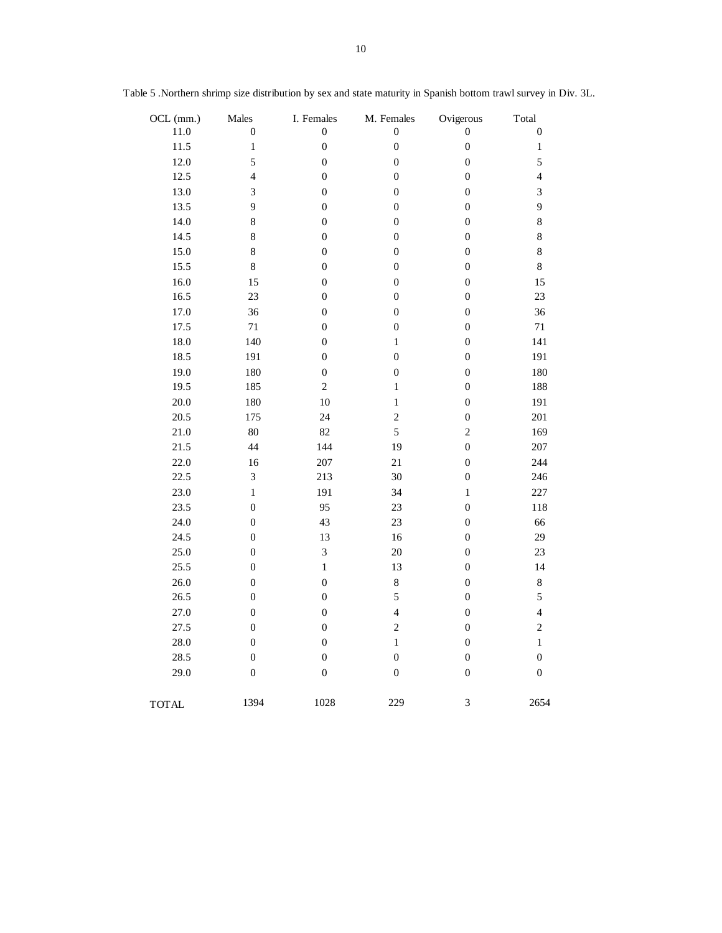| OCL (mm.)    | Males            | I. Females       | M. Females       | Ovigerous        | Total                   |
|--------------|------------------|------------------|------------------|------------------|-------------------------|
| 11.0         | $\boldsymbol{0}$ | $\boldsymbol{0}$ | $\boldsymbol{0}$ | $\boldsymbol{0}$ | $\boldsymbol{0}$        |
| 11.5         | $\,1$            | $\boldsymbol{0}$ | $\boldsymbol{0}$ | $\boldsymbol{0}$ | $\,1$                   |
| 12.0         | 5                | $\boldsymbol{0}$ | $\boldsymbol{0}$ | $\boldsymbol{0}$ | $\sqrt{5}$              |
| 12.5         | $\overline{4}$   | $\boldsymbol{0}$ | $\boldsymbol{0}$ | $\boldsymbol{0}$ | $\overline{\mathbf{4}}$ |
| 13.0         | 3                | $\boldsymbol{0}$ | $\boldsymbol{0}$ | $\boldsymbol{0}$ | $\mathfrak{Z}$          |
| 13.5         | $\overline{9}$   | $\boldsymbol{0}$ | $\boldsymbol{0}$ | $\boldsymbol{0}$ | 9                       |
| 14.0         | $\,8\,$          | $\boldsymbol{0}$ | $\boldsymbol{0}$ | $\boldsymbol{0}$ | $\,8\,$                 |
| 14.5         | 8                | $\boldsymbol{0}$ | $\boldsymbol{0}$ | $\boldsymbol{0}$ | $\,8\,$                 |
| 15.0         | 8                | $\boldsymbol{0}$ | $\overline{0}$   | $\boldsymbol{0}$ | $\,8\,$                 |
| 15.5         | $\,8\,$          | $\boldsymbol{0}$ | $\boldsymbol{0}$ | $\boldsymbol{0}$ | $\,8\,$                 |
| 16.0         | 15               | $\boldsymbol{0}$ | $\boldsymbol{0}$ | $\boldsymbol{0}$ | 15                      |
| 16.5         | 23               | $\boldsymbol{0}$ | $\boldsymbol{0}$ | $\boldsymbol{0}$ | 23                      |
| 17.0         | 36               | $\boldsymbol{0}$ | $\boldsymbol{0}$ | $\boldsymbol{0}$ | 36                      |
| 17.5         | $71\,$           | $\boldsymbol{0}$ | $\boldsymbol{0}$ | $\boldsymbol{0}$ | $71\,$                  |
| 18.0         | 140              | $\boldsymbol{0}$ | $\,1$            | $\boldsymbol{0}$ | 141                     |
| 18.5         | 191              | $\boldsymbol{0}$ | $\boldsymbol{0}$ | $\boldsymbol{0}$ | 191                     |
| 19.0         | 180              | $\boldsymbol{0}$ | $\boldsymbol{0}$ | $\boldsymbol{0}$ | 180                     |
| 19.5         | 185              | $\overline{c}$   | $\,1$            | $\boldsymbol{0}$ | 188                     |
| 20.0         | 180              | 10               | $\,1$            | $\boldsymbol{0}$ | 191                     |
| 20.5         | 175              | 24               | $\overline{c}$   | $\boldsymbol{0}$ | 201                     |
| 21.0         | $80\,$           | 82               | 5                | $\overline{c}$   | 169                     |
| 21.5         | 44               | 144              | 19               | $\boldsymbol{0}$ | 207                     |
| 22.0         | 16               | 207              | 21               | $\boldsymbol{0}$ | 244                     |
| 22.5         | $\mathfrak{Z}$   | 213              | 30               | $\boldsymbol{0}$ | 246                     |
| 23.0         | $\,1$            | 191              | 34               | $\,1$            | 227                     |
| 23.5         | $\boldsymbol{0}$ | 95               | 23               | $\boldsymbol{0}$ | 118                     |
| 24.0         | $\boldsymbol{0}$ | 43               | 23               | $\boldsymbol{0}$ | 66                      |
| 24.5         | $\boldsymbol{0}$ | 13               | 16               | $\boldsymbol{0}$ | 29                      |
| 25.0         | $\boldsymbol{0}$ | 3                | 20               | $\boldsymbol{0}$ | $23\,$                  |
| 25.5         | $\boldsymbol{0}$ | $\,1$            | 13               | $\boldsymbol{0}$ | 14                      |
| 26.0         | $\boldsymbol{0}$ | $\boldsymbol{0}$ | $\,8\,$          | $\boldsymbol{0}$ | $\bf 8$                 |
| 26.5         | $\boldsymbol{0}$ | $\boldsymbol{0}$ | 5                | $\boldsymbol{0}$ | $\sqrt{5}$              |
| 27.0         | $\boldsymbol{0}$ | $\boldsymbol{0}$ | $\overline{4}$   | $\boldsymbol{0}$ | $\overline{4}$          |
| 27.5         | $\boldsymbol{0}$ | $\boldsymbol{0}$ | $\overline{c}$   | $\boldsymbol{0}$ | $\sqrt{2}$              |
| 28.0         | $\boldsymbol{0}$ | $\boldsymbol{0}$ | $\,1$            | $\boldsymbol{0}$ | $\,1\,$                 |
| 28.5         | $\boldsymbol{0}$ | $\boldsymbol{0}$ | $\boldsymbol{0}$ | $\boldsymbol{0}$ | $\boldsymbol{0}$        |
| 29.0         | $\boldsymbol{0}$ | $\boldsymbol{0}$ | $\boldsymbol{0}$ | $\boldsymbol{0}$ | $\boldsymbol{0}$        |
| <b>TOTAL</b> | 1394             | 1028             | 229              | 3                | 2654                    |

Table 5 .Northern shrimp size distribution by sex and state maturity in Spanish bottom trawl survey in Div. 3L.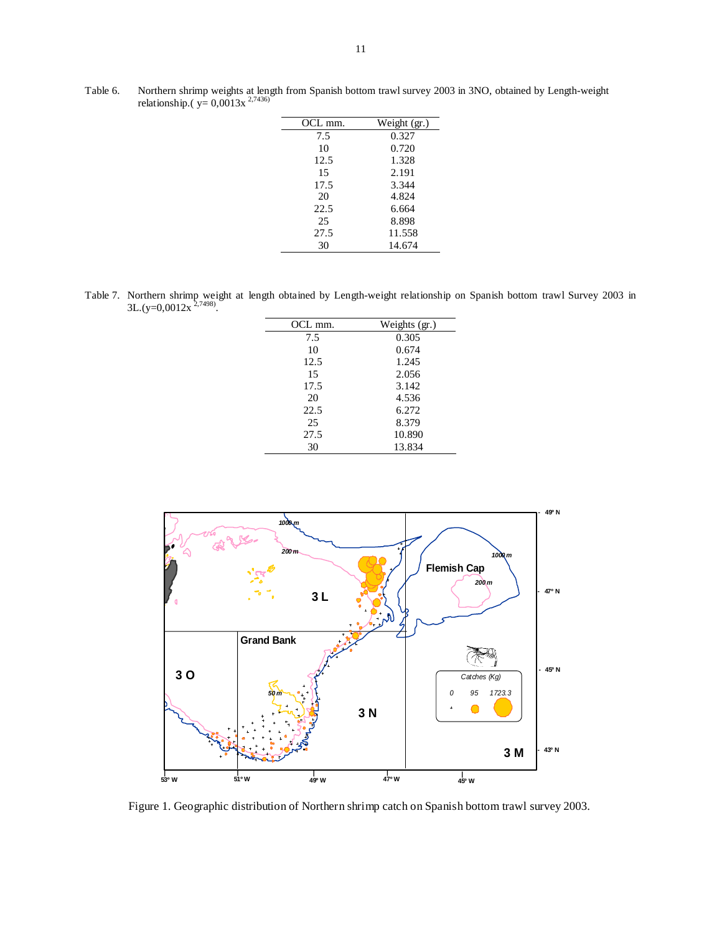| OCL mm. | Weight (gr.) |
|---------|--------------|
| 7.5     | 0.327        |
| 10      | 0.720        |
| 12.5    | 1.328        |
| 15      | 2.191        |
| 17.5    | 3.344        |
| 20      | 4.824        |
| 22.5    | 6.664        |
| 25      | 8.898        |
| 27.5    | 11.558       |
| 30      | 14.674       |

Table 6. Northern shrimp weights at length from Spanish bottom trawl survey 2003 in 3NO, obtained by Length-weight relationship.( $y= 0,0013x^{2,7436}$ )

Table 7. Northern shrimp weight at length obtained by Length-weight relationship on Spanish bottom trawl Survey 2003 in  $3L.(y=0,0012x^{2,7498}).$ 

| OCL mm. | Weights (gr.) |
|---------|---------------|
| 7.5     | 0.305         |
| 10      | 0.674         |
| 12.5    | 1.245         |
| 15      | 2.056         |
| 17.5    | 3.142         |
| 20      | 4.536         |
| 22.5    | 6.272         |
| 25      | 8.379         |
| 27.5    | 10.890        |
| 30      | 13.834        |



Figure 1. Geographic distribution of Northern shrimp catch on Spanish bottom trawl survey 2003.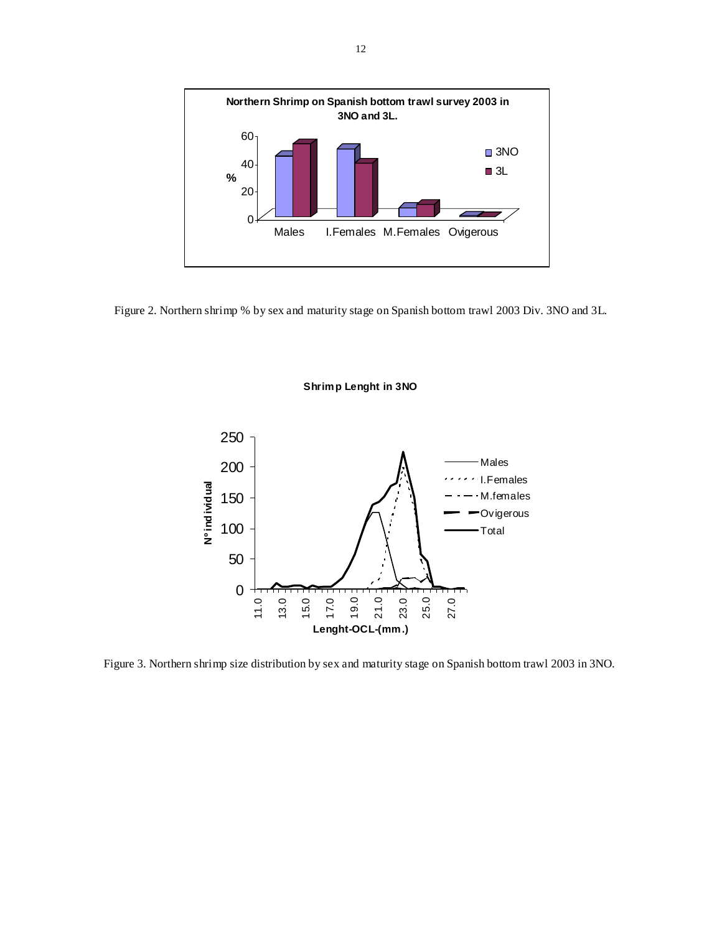

Figure 2. Northern shrimp % by sex and maturity stage on Spanish bottom trawl 2003 Div. 3NO and 3L.

**Shrimp Lenght in 3NO**



Figure 3. Northern shrimp size distribution by sex and maturity stage on Spanish bottom trawl 2003 in 3NO.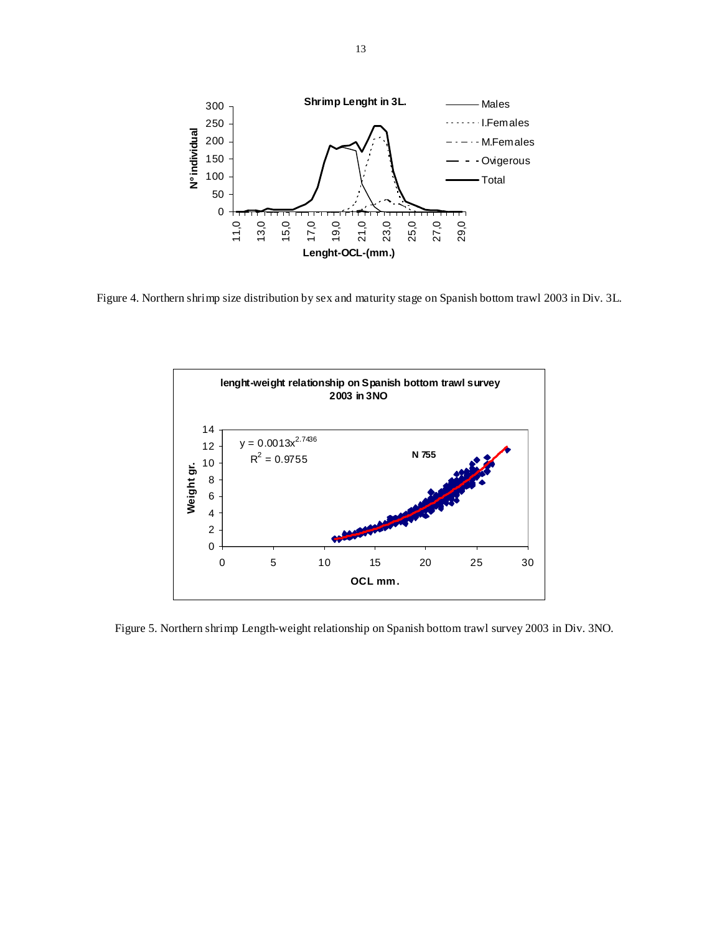

Figure 4. Northern shrimp size distribution by sex and maturity stage on Spanish bottom trawl 2003 in Div. 3L.



Figure 5. Northern shrimp Length-weight relationship on Spanish bottom trawl survey 2003 in Div. 3NO.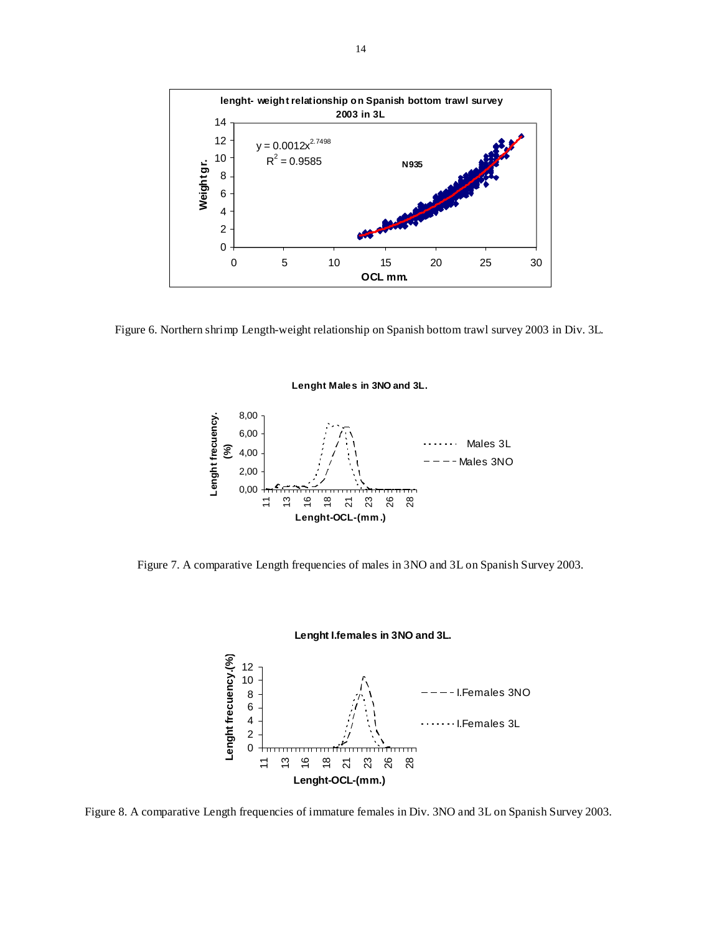

Figure 6. Northern shrimp Length-weight relationship on Spanish bottom trawl survey 2003 in Div. 3L.





Figure 7. A comparative Length frequencies of males in 3NO and 3L on Spanish Survey 2003.



# **Lenght I.females in 3NO and 3L.**

Figure 8. A comparative Length frequencies of immature females in Div. 3NO and 3L on Spanish Survey 2003.